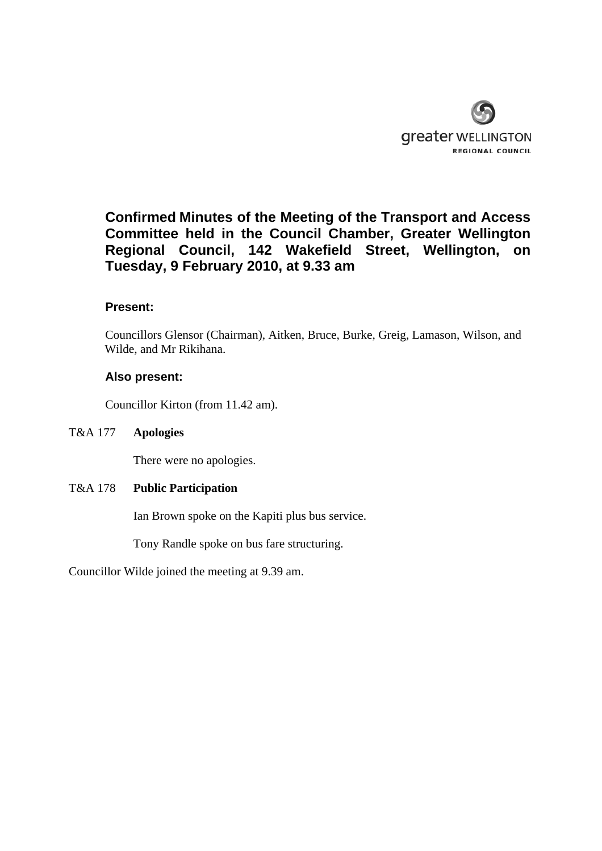

# **Confirmed Minutes of the Meeting of the Transport and Access Committee held in the Council Chamber, Greater Wellington Regional Council, 142 Wakefield Street, Wellington, on Tuesday, 9 February 2010, at 9.33 am**

#### **Present:**

Councillors Glensor (Chairman), Aitken, Bruce, Burke, Greig, Lamason, Wilson, and Wilde, and Mr Rikihana.

#### **Also present:**

Councillor Kirton (from 11.42 am).

#### T&A 177 **Apologies**

There were no apologies.

#### T&A 178 **Public Participation**

Ian Brown spoke on the Kapiti plus bus service.

Tony Randle spoke on bus fare structuring.

Councillor Wilde joined the meeting at 9.39 am.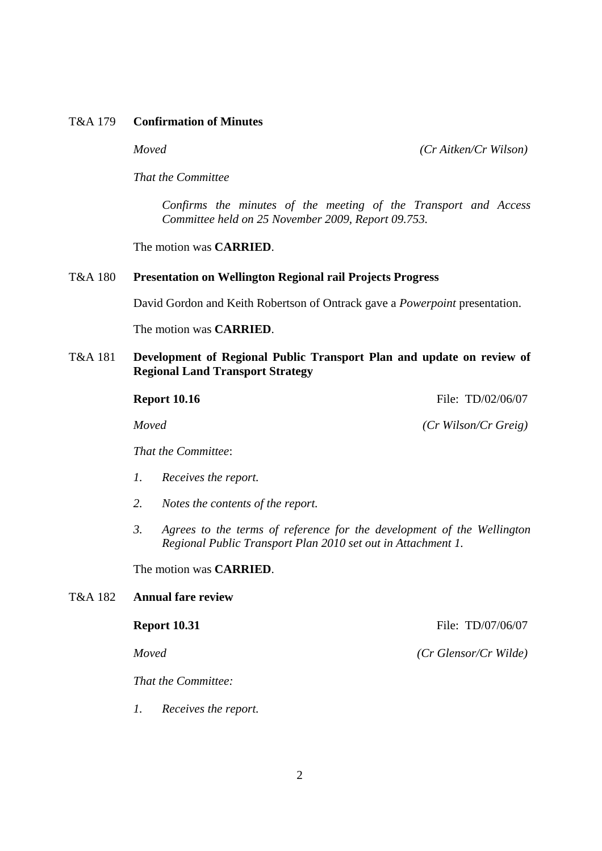#### T&A 179 **Confirmation of Minutes**

*Moved (Cr Aitken/Cr Wilson)* 

*That the Committee* 

 *Confirms the minutes of the meeting of the Transport and Access Committee held on 25 November 2009, Report 09.753.* 

The motion was **CARRIED**.

#### T&A 180 **Presentation on Wellington Regional rail Projects Progress**

David Gordon and Keith Robertson of Ontrack gave a *Powerpoint* presentation.

The motion was **CARRIED**.

T&A 181 **Development of Regional Public Transport Plan and update on review of Regional Land Transport Strategy** 

**Report 10.16 File: TD/02/06/07** 

*That the Committee*:

- *1. Receives the report.*
- *2. Notes the contents of the report.*
- *3. Agrees to the terms of reference for the development of the Wellington Regional Public Transport Plan 2010 set out in Attachment 1.*

The motion was **CARRIED**.

### T&A 182 **Annual fare review**

*That the Committee:* 

*1. Receives the report.* 

*Moved (Cr Wilson/Cr Greig)* 

**Report 10.31 File: TD/07/06/07** 

*Moved (Cr Glensor/Cr Wilde)*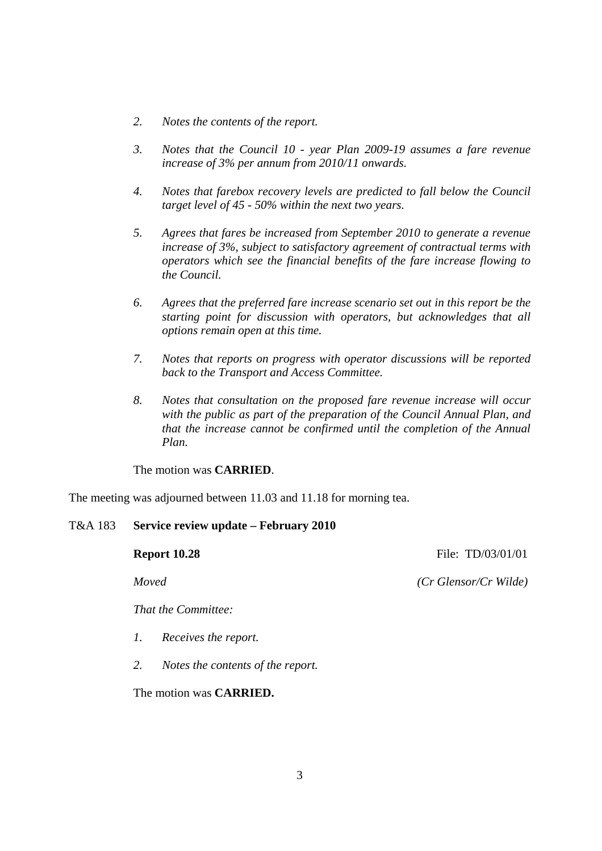- *2. Notes the contents of the report.*
- *3. Notes that the Council 10 year Plan 2009-19 assumes a fare revenue increase of 3% per annum from 2010/11 onwards.*
- *4. Notes that farebox recovery levels are predicted to fall below the Council target level of 45 - 50% within the next two years.*
- *5. Agrees that fares be increased from September 2010 to generate a revenue increase of 3%, subject to satisfactory agreement of contractual terms with operators which see the financial benefits of the fare increase flowing to the Council.*
- *6. Agrees that the preferred fare increase scenario set out in this report be the starting point for discussion with operators, but acknowledges that all options remain open at this time.*
- *7. Notes that reports on progress with operator discussions will be reported back to the Transport and Access Committee.*
- *8. Notes that consultation on the proposed fare revenue increase will occur with the public as part of the preparation of the Council Annual Plan, and that the increase cannot be confirmed until the completion of the Annual Plan.*

The motion was **CARRIED**.

The meeting was adjourned between 11.03 and 11.18 for morning tea.

#### T&A 183 **Service review update – February 2010**

**Report 10.28 File: TD/03/01/01** 

*Moved (Cr Glensor/Cr Wilde)* 

*That the Committee:* 

- *1. Receives the report.*
- *2. Notes the contents of the report.*

The motion was **CARRIED.**